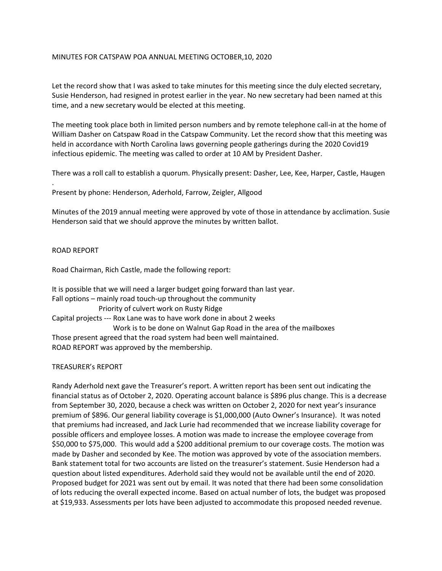## MINUTES FOR CATSPAW POA ANNUAL MEETING OCTOBER,10, 2020

Let the record show that I was asked to take minutes for this meeting since the duly elected secretary, Susie Henderson, had resigned in protest earlier in the year. No new secretary had been named at this time, and a new secretary would be elected at this meeting.

The meeting took place both in limited person numbers and by remote telephone call-in at the home of William Dasher on Catspaw Road in the Catspaw Community. Let the record show that this meeting was held in accordance with North Carolina laws governing people gatherings during the 2020 Covid19 infectious epidemic. The meeting was called to order at 10 AM by President Dasher.

There was a roll call to establish a quorum. Physically present: Dasher, Lee, Kee, Harper, Castle, Haugen

Present by phone: Henderson, Aderhold, Farrow, Zeigler, Allgood

Minutes of the 2019 annual meeting were approved by vote of those in attendance by acclimation. Susie Henderson said that we should approve the minutes by written ballot.

### ROAD REPORT

.

Road Chairman, Rich Castle, made the following report:

It is possible that we will need a larger budget going forward than last year. Fall options – mainly road touch-up throughout the community Priority of culvert work on Rusty Ridge Capital projects --- Rox Lane was to have work done in about 2 weeks Work is to be done on Walnut Gap Road in the area of the mailboxes Those present agreed that the road system had been well maintained. ROAD REPORT was approved by the membership.

### TREASURER's REPORT

Randy Aderhold next gave the Treasurer's report. A written report has been sent out indicating the financial status as of October 2, 2020. Operating account balance is \$896 plus change. This is a decrease from September 30, 2020, because a check was written on October 2, 2020 for next year's insurance premium of \$896. Our general liability coverage is \$1,000,000 (Auto Owner's Insurance). It was noted that premiums had increased, and Jack Lurie had recommended that we increase liability coverage for possible officers and employee losses. A motion was made to increase the employee coverage from \$50,000 to \$75,000. This would add a \$200 additional premium to our coverage costs. The motion was made by Dasher and seconded by Kee. The motion was approved by vote of the association members. Bank statement total for two accounts are listed on the treasurer's statement. Susie Henderson had a question about listed expenditures. Aderhold said they would not be available until the end of 2020. Proposed budget for 2021 was sent out by email. It was noted that there had been some consolidation of lots reducing the overall expected income. Based on actual number of lots, the budget was proposed at \$19,933. Assessments per lots have been adjusted to accommodate this proposed needed revenue.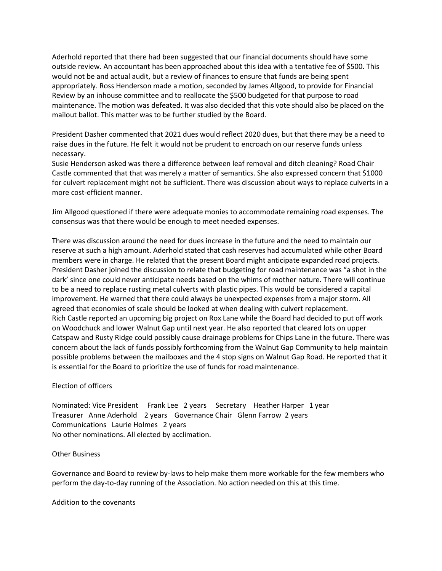Aderhold reported that there had been suggested that our financial documents should have some outside review. An accountant has been approached about this idea with a tentative fee of \$500. This would not be and actual audit, but a review of finances to ensure that funds are being spent appropriately. Ross Henderson made a motion, seconded by James Allgood, to provide for Financial Review by an inhouse committee and to reallocate the \$500 budgeted for that purpose to road maintenance. The motion was defeated. It was also decided that this vote should also be placed on the mailout ballot. This matter was to be further studied by the Board.

President Dasher commented that 2021 dues would reflect 2020 dues, but that there may be a need to raise dues in the future. He felt it would not be prudent to encroach on our reserve funds unless necessary.

Susie Henderson asked was there a difference between leaf removal and ditch cleaning? Road Chair Castle commented that that was merely a matter of semantics. She also expressed concern that \$1000 for culvert replacement might not be sufficient. There was discussion about ways to replace culverts in a more cost-efficient manner.

Jim Allgood questioned if there were adequate monies to accommodate remaining road expenses. The consensus was that there would be enough to meet needed expenses.

There was discussion around the need for dues increase in the future and the need to maintain our reserve at such a high amount. Aderhold stated that cash reserves had accumulated while other Board members were in charge. He related that the present Board might anticipate expanded road projects. President Dasher joined the discussion to relate that budgeting for road maintenance was "a shot in the dark' since one could never anticipate needs based on the whims of mother nature. There will continue to be a need to replace rusting metal culverts with plastic pipes. This would be considered a capital improvement. He warned that there could always be unexpected expenses from a major storm. All agreed that economies of scale should be looked at when dealing with culvert replacement. Rich Castle reported an upcoming big project on Rox Lane while the Board had decided to put off work on Woodchuck and lower Walnut Gap until next year. He also reported that cleared lots on upper Catspaw and Rusty Ridge could possibly cause drainage problems for Chips Lane in the future. There was concern about the lack of funds possibly forthcoming from the Walnut Gap Community to help maintain possible problems between the mailboxes and the 4 stop signs on Walnut Gap Road. He reported that it is essential for the Board to prioritize the use of funds for road maintenance.

### Election of officers

Nominated: Vice President Frank Lee 2 years Secretary Heather Harper 1 year Treasurer Anne Aderhold 2 years Governance Chair Glenn Farrow 2 years Communications Laurie Holmes 2 years No other nominations. All elected by acclimation.

### Other Business

Governance and Board to review by-laws to help make them more workable for the few members who perform the day-to-day running of the Association. No action needed on this at this time.

Addition to the covenants